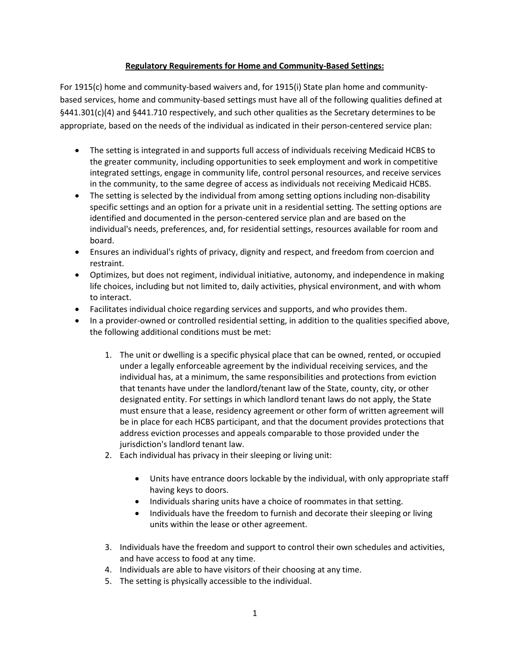## **Regulatory Requirements for Home and Community-Based Settings:**

For 1915(c) home and community-based waivers and, for 1915(i) State plan home and communitybased services, home and community-based settings must have all of the following qualities defined at §441.301(c)(4) and §441.710 respectively, and such other qualities as the Secretary determines to be appropriate, based on the needs of the individual as indicated in their person-centered service plan:

- The setting is integrated in and supports full access of individuals receiving Medicaid HCBS to the greater community, including opportunities to seek employment and work in competitive integrated settings, engage in community life, control personal resources, and receive services in the community, to the same degree of access as individuals not receiving Medicaid HCBS.
- The setting is selected by the individual from among setting options including non-disability specific settings and an option for a private unit in a residential setting. The setting options are identified and documented in the person-centered service plan and are based on the individual's needs, preferences, and, for residential settings, resources available for room and board.
- Ensures an individual's rights of privacy, dignity and respect, and freedom from coercion and restraint.
- Optimizes, but does not regiment, individual initiative, autonomy, and independence in making life choices, including but not limited to, daily activities, physical environment, and with whom to interact.
- Facilitates individual choice regarding services and supports, and who provides them.
- In a provider-owned or controlled residential setting, in addition to the qualities specified above, the following additional conditions must be met:
	- 1. The unit or dwelling is a specific physical place that can be owned, rented, or occupied under a legally enforceable agreement by the individual receiving services, and the individual has, at a minimum, the same responsibilities and protections from eviction that tenants have under the landlord/tenant law of the State, county, city, or other designated entity. For settings in which landlord tenant laws do not apply, the State must ensure that a lease, residency agreement or other form of written agreement will be in place for each HCBS participant, and that the document provides protections that address eviction processes and appeals comparable to those provided under the jurisdiction's landlord tenant law.
	- 2. Each individual has privacy in their sleeping or living unit:
		- Units have entrance doors lockable by the individual, with only appropriate staff having keys to doors.
		- Individuals sharing units have a choice of roommates in that setting.
		- Individuals have the freedom to furnish and decorate their sleeping or living units within the lease or other agreement.
	- 3. Individuals have the freedom and support to control their own schedules and activities, and have access to food at any time.
	- 4. Individuals are able to have visitors of their choosing at any time.
	- 5. The setting is physically accessible to the individual.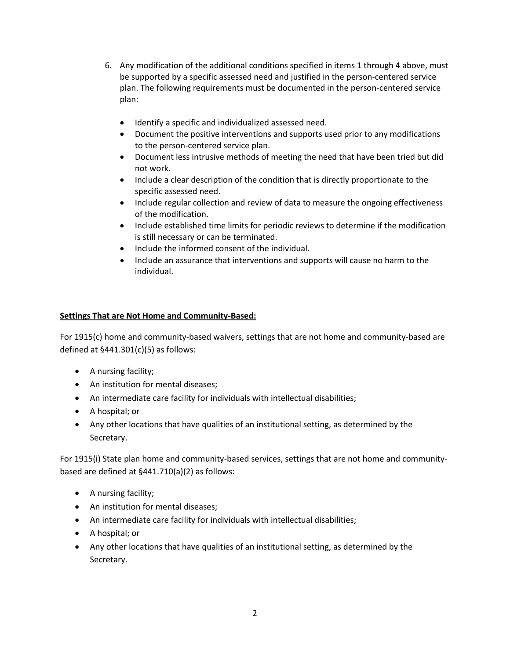- 6. Any modification of the additional conditions specified in items 1 through 4 above, must be supported by a specific assessed need and justified in the person-centered service plan. The following requirements must be documented in the person-centered service plan:
	- Identify a specific and individualized assessed need.
	- Document the positive interventions and supports used prior to any modifications to the person-centered service plan.
	- Document less intrusive methods of meeting the need that have been tried but did not work.
	- Include a clear description of the condition that is directly proportionate to the specific assessed need.
	- Include regular collection and review of data to measure the ongoing effectiveness of the modification.
	- Include established time limits for periodic reviews to determine if the modification is still necessary or can be terminated.
	- Include the informed consent of the individual.
	- Include an assurance that interventions and supports will cause no harm to the individual.

## **Settings That are Not Home and Community-Based:**

For 1915(c) home and community-based waivers, settings that are not home and community-based are defined at  $§441.301(c)(5)$  as follows:

- A nursing facility;
- An institution for mental diseases;
- An intermediate care facility for individuals with intellectual disabilities;
- A hospital; or
- Any other locations that have qualities of an institutional setting, as determined by the Secretary.

For 1915(i) State plan home and community-based services, settings that are not home and communitybased are defined at §441.710(a)(2) as follows:

- A nursing facility;
- An institution for mental diseases;
- An intermediate care facility for individuals with intellectual disabilities;
- A hospital; or
- Any other locations that have qualities of an institutional setting, as determined by the Secretary.